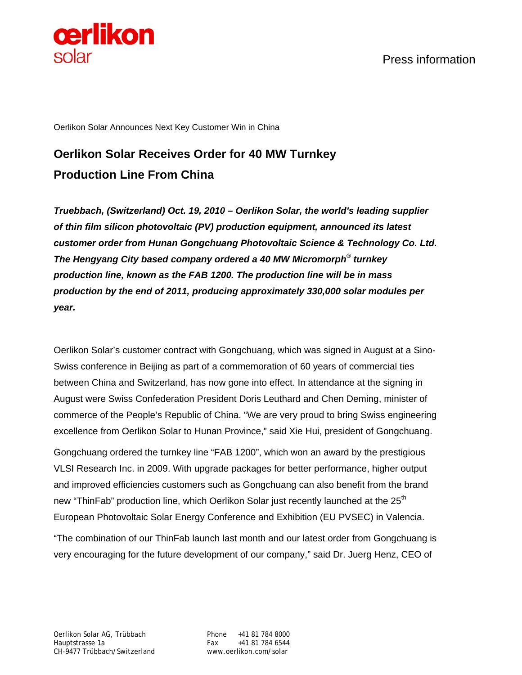

Press information

Oerlikon Solar Announces Next Key Customer Win in China

## **Oerlikon Solar Receives Order for 40 MW Turnkey Production Line From China**

*Truebbach, (Switzerland) Oct. 19, 2010 – Oerlikon Solar, the world's leading supplier of thin film silicon photovoltaic (PV) production equipment, announced its latest customer order from Hunan Gongchuang Photovoltaic Science & Technology Co. Ltd. The Hengyang City based company ordered a 40 MW Micromorph® turnkey production line, known as the FAB 1200. The production line will be in mass production by the end of 2011, producing approximately 330,000 solar modules per year.*

Oerlikon Solar's customer contract with Gongchuang, which was signed in August at a Sino-Swiss conference in Beijing as part of a commemoration of 60 years of commercial ties between China and Switzerland, has now gone into effect. In attendance at the signing in August were Swiss Confederation President Doris Leuthard and Chen Deming, minister of commerce of the People's Republic of China. "We are very proud to bring Swiss engineering excellence from Oerlikon Solar to Hunan Province," said Xie Hui, president of Gongchuang.

Gongchuang ordered the turnkey line "FAB 1200", which won an award by the prestigious VLSI Research Inc. in 2009. With upgrade packages for better performance, higher output and improved efficiencies customers such as Gongchuang can also benefit from the brand new "ThinFab" production line, which Oerlikon Solar just recently launched at the  $25<sup>th</sup>$ European Photovoltaic Solar Energy Conference and Exhibition (EU PVSEC) in Valencia.

"The combination of our ThinFab launch last month and our latest order from Gongchuang is very encouraging for the future development of our company," said Dr. Juerg Henz, CEO of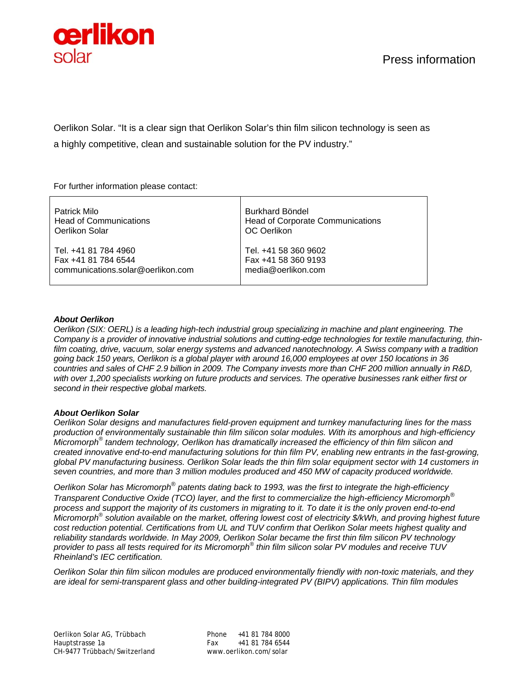

Oerlikon Solar. "It is a clear sign that Oerlikon Solar's thin film silicon technology is seen as a highly competitive, clean and sustainable solution for the PV industry."

For further information please contact:

| Patrick Milo                      | Burkhard Böndel                         |
|-----------------------------------|-----------------------------------------|
| <b>Head of Communications</b>     | <b>Head of Corporate Communications</b> |
| Oerlikon Solar                    | OC Oerlikon                             |
| Tel. +41 81 784 4960              | Tel. +41 58 360 9602                    |
| Fax +41 81 784 6544               | Fax +41 58 360 9193                     |
| communications.solar@oerlikon.com | media@oerlikon.com                      |

## *About Oerlikon*

*Oerlikon (SIX: OERL) is a leading high-tech industrial group specializing in machine and plant engineering. The Company is a provider of innovative industrial solutions and cutting-edge technologies for textile manufacturing, thinfilm coating, drive, vacuum, solar energy systems and advanced nanotechnology. A Swiss company with a tradition going back 150 years, Oerlikon is a global player with around 16,000 employees at over 150 locations in 36 countries and sales of CHF 2.9 billion in 2009. The Company invests more than CHF 200 million annually in R&D, with over 1,200 specialists working on future products and services. The operative businesses rank either first or second in their respective global markets.* 

## *About Oerlikon Solar*

*Oerlikon Solar designs and manufactures field-proven equipment and turnkey manufacturing lines for the mass production of environmentally sustainable thin film silicon solar modules. With its amorphous and high-efficiency Micromorph® tandem technology, Oerlikon has dramatically increased the efficiency of thin film silicon and created innovative end-to-end manufacturing solutions for thin film PV, enabling new entrants in the fast-growing, global PV manufacturing business. Oerlikon Solar leads the thin film solar equipment sector with 14 customers in seven countries, and more than 3 million modules produced and 450 MW of capacity produced worldwide.* 

*Oerlikon Solar has Micromorph*® *patents dating back to 1993, was the first to integrate the high-efficiency Transparent Conductive Oxide (TCO) layer, and the first to commercialize the high-efficiency Micromorph*® *process and support the majority of its customers in migrating to it. To date it is the only proven end-to-end Micromorph*®  *solution available on the market, offering lowest cost of electricity \$/kWh, and proving highest future cost reduction potential. Certifications from UL and TUV confirm that Oerlikon Solar meets highest quality and reliability standards worldwide. In May 2009, Oerlikon Solar became the first thin film silicon PV technology provider to pass all tests required for its Micromorph® thin film silicon solar PV modules and receive TUV Rheinland's IEC certification.* 

*Oerlikon Solar thin film silicon modules are produced environmentally friendly with non-toxic materials, and they are ideal for semi-transparent glass and other building-integrated PV (BIPV) applications. Thin film modules*